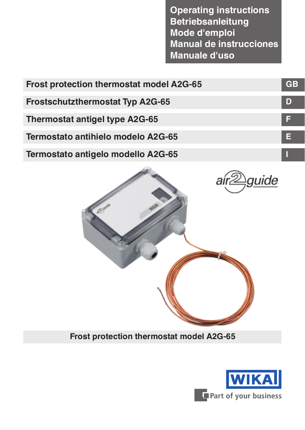**Operating instructions Betriebsanleitung Mode d'emploi Manual de instrucciones Manuale d'uso**

| Frost protection thermostat model A2G-65 | GB |
|------------------------------------------|----|
| Frostschutzthermostat Typ A2G-65         |    |
| Thermostat antigel type A2G-65           |    |
| Termostato antihielo modelo A2G-65       |    |
| Termostato antigelo modello A2G-65       |    |



**Frost protection thermostat model A2G-65**

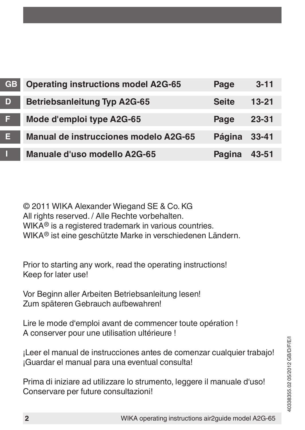| <b>GB</b> | <b>Operating instructions model A2G-65</b> | Page         | $3 - 11$  |
|-----------|--------------------------------------------|--------------|-----------|
| D         | <b>Betriebsanleitung Typ A2G-65</b>        | <b>Seite</b> | $13 - 21$ |
| Θ         | Mode d'emploi type A2G-65                  | Page         | $23 - 31$ |
| Е         | Manual de instrucciones modelo A2G-65      | Página       | $33 - 41$ |
|           | Manuale d'uso modello A2G-65               | Pagina       | $43 - 51$ |

© 2011 WIKA Alexander Wiegand SE & Co. KG All rights reserved. / Alle Rechte vorbehalten. WIKA® is a registered trademark in various countries. WIKA® ist eine geschützte Marke in verschiedenen Ländern.

Prior to starting any work, read the operating instructions! Keep for later use!

Vor Beginn aller Arbeiten Betriebsanleitung lesen! Zum späteren Gebrauch aufbewahren!

Lire le mode d'emploi avant de commencer toute opération ! A conserver pour une utilisation ultérieure !

¡Leer el manual de instrucciones antes de comenzar cualquier trabajo! ¡Guardar el manual para una eventual consulta!

Prima di iniziare ad utilizzare lo strumento, leggere il manuale d'uso! Conservare per future consultazioni!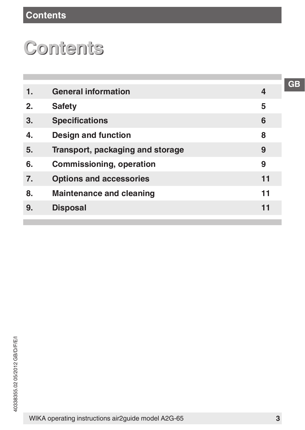# **Contents**

| 1. | <b>General information</b>       | 4  | <b>GB</b> |
|----|----------------------------------|----|-----------|
| 2. | Safety                           | 5  |           |
| 3. | <b>Specifications</b>            | 6  |           |
| 4. | Design and function              | 8  |           |
| 5. | Transport, packaging and storage | 9  |           |
| 6. | <b>Commissioning, operation</b>  | 9  |           |
| 7. | <b>Options and accessories</b>   | 11 |           |
| 8. | <b>Maintenance and cleaning</b>  | 11 |           |
| 9. | <b>Disposal</b>                  | 11 |           |
|    |                                  |    |           |

WIKA operating instructions air2guide model A2G-65 **3**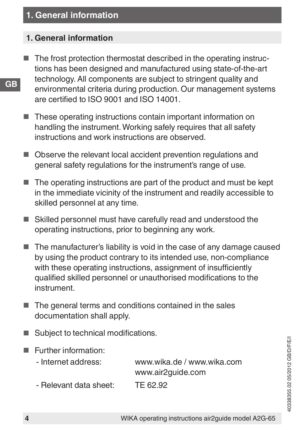#### **1. General information**

- The frost protection thermostat described in the operating instructions has been designed and manufactured using state-of-the-art technology. All components are subject to stringent quality and environmental criteria during production. Our management systems are certified to ISO 9001 and ISO 14001.
- These operating instructions contain important information on handling the instrument. Working safely requires that all safety instructions and work instructions are observed.
- Observe the relevant local accident prevention regulations and general safety regulations for the instrument's range of use.
- The operating instructions are part of the product and must be kept in the immediate vicinity of the instrument and readily accessible to skilled personnel at any time.
- Skilled personnel must have carefully read and understood the operating instructions, prior to beginning any work.
- The manufacturer's liability is void in the case of any damage caused by using the product contrary to its intended use, non-compliance with these operating instructions, assignment of insufficiently qualified skilled personnel or unauthorised modifications to the instrument.
- The general terms and conditions contained in the sales documentation shall apply.
- Subject to technical modifications.
- Further information:
	- Internet address: www.wika.de / www.wika.com www.air2guide.com
	- Relevant data sheet: TE 62.92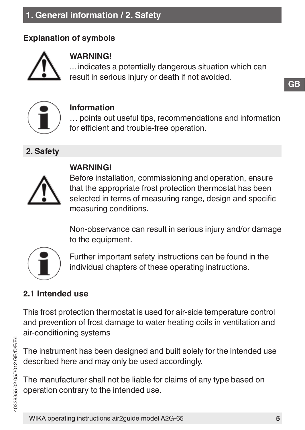# **Explanation of symbols**



#### **WARNING!**

... indicates a potentially dangerous situation which can result in serious injury or death if not avoided.



#### **Information**

… points out useful tips, recommendations and information for efficient and trouble-free operation.

# **2. Safety**



#### **WARNING!**

Before installation, commissioning and operation, ensure that the appropriate frost protection thermostat has been selected in terms of measuring range, design and specific measuring conditions.

Non-observance can result in serious injury and/or damage to the equipment.



Further important safety instructions can be found in the individual chapters of these operating instructions.

# **2.1 Intended use**

This frost protection thermostat is used for air-side temperature control and prevention of frost damage to water heating coils in ventilation and air-conditioning systems

The instrument has been designed and built solely for the intended use described here and may only be used accordingly.

The manufacturer shall not be liable for claims of any type based on operation contrary to the intended use.

**GB**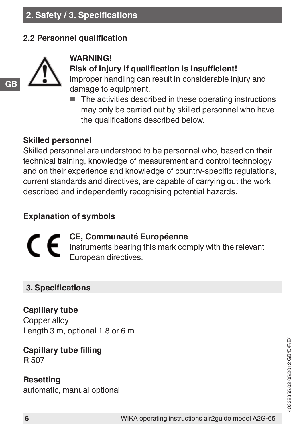# **2.2 Personnel qualification**



**GB**

# **WARNING! Risk of injury if qualification is insufficient!**

Improper handling can result in considerable injury and damage to equipment.

The activities described in these operating instructions may only be carried out by skilled personnel who have the qualifications described below.

# **Skilled personnel**

Skilled personnel are understood to be personnel who, based on their technical training, knowledge of measurement and control technology and on their experience and knowledge of country-specific regulations, current standards and directives, are capable of carrying out the work described and independently recognising potential hazards.

#### **Explanation of symbols**

# **CE, Communauté Européenne**

Instruments bearing this mark comply with the relevant European directives.

#### **3. Specifications**

**Capillary tube** Copper alloy Length 3 m, optional 1.8 or 6 m

**Capillary tube filling** R 507

**Resetting** automatic, manual optional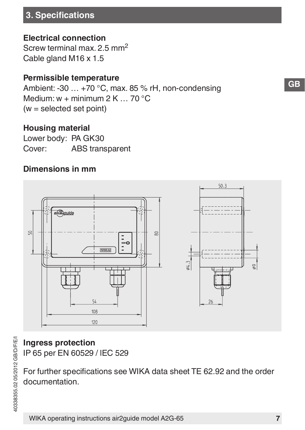# **3. Specifications**

# **Electrical connection**

Screw terminal may 2.5 mm<sup>2</sup> Cable gland M16 x 1.5

#### **Permissible temperature**

Ambient: -30 … +70 °C, max. 85 % rH, non-condensing Medium: w + minimum 2 K … 70 °C (w = selected set point)

#### **Housing material**

Lower body: PA GK30 Cover: ABS transparent

#### **Dimensions in mm**



# **Ingress protection**

IP 65 per EN 60529 / lEC 529

For further specifications see WIKA data sheet TE 62.92 and the order documentation.

**GB**

WIKA operating instructions air2guide model A2G-65 **7**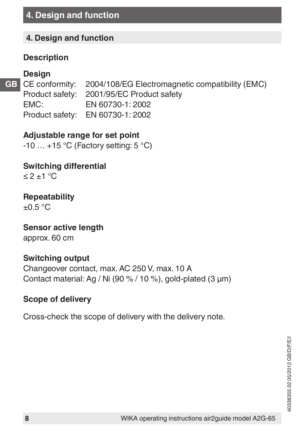# **4. Design and function**

# **Description**

# **Design**

**GB** CE conformity: 2004/108/EG Electromagnetic compatibility (EMC) Product safety: 2001/95/EC Product safety EMC: EN 60730-1: 2002 Product safety: EN 60730-1: 2002

**Adjustable range for set point**  $-10$  ...  $+15$  °C (Factory setting:  $5$  °C)

**Switching differential**

 $< 2 + 1$  °C

**Repeatability**

 $\pm$ 0.5 °C

**Sensor active length** approx. 60 cm

# **Switching output**

Changeover contact, max. AC 250 V, max. 10 A Contact material: Ag / Ni (90 % / 10 %), gold-plated (3 µm)

# **Scope of delivery**

Cross-check the scope of delivery with the delivery note.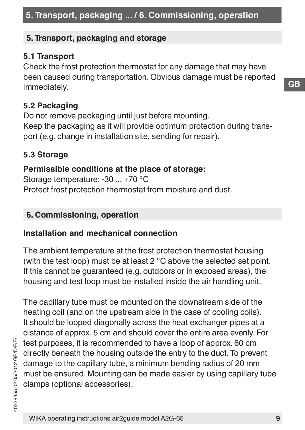# **5. Transport, packaging and storage**

# **5.1 Transport**

Check the frost protection thermostat for any damage that may have been caused during transportation. Obvious damage must be reported immediately.

# **5.2 Packaging**

Do not remove packaging until just before mounting. Keep the packaging as it will provide optimum protection during transport (e.g. change in installation site, sending for repair).

#### **5.3 Storage**

**Permissible conditions at the place of storage:** Storage temperature: -30 ... +70 °C Protect frost protection thermostat from moisture and dust.

#### **6. Commissioning, operation**

# **Installation and mechanical connection**

The ambient temperature at the frost protection thermostat housing (with the test loop) must be at least 2 °C above the selected set point. If this cannot be guaranteed (e.g. outdoors or in exposed areas), the housing and test loop must be installed inside the air handling unit.

The capillary tube must be mounted on the downstream side of the heating coil (and on the upstream side in the case of cooling coils). It should be looped diagonally across the heat exchanger pipes at a distance of approx. 5 cm and should cover the entire area evenly. For test purposes, it is recommended to have a loop of approx. 60 cm directly beneath the housing outside the entry to the duct. To prevent damage to the capillary tube, a minimum bending radius of 20 mm must be ensured. Mounting can be made easier by using capillary tube clamps (optional accessories).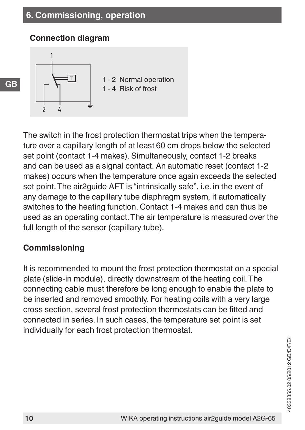# **6. Commissioning, operation**

#### **Connection diagram**

**GB**



The switch in the frost protection thermostat trips when the temperature over a capillary length of at least 60 cm drops below the selected set point (contact 1-4 makes). Simultaneously, contact 1-2 breaks and can be used as a signal contact. An automatic reset (contact 1-2 makes) occurs when the temperature once again exceeds the selected set point. The air2guide AFT is "intrinsically safe", i.e. in the event of any damage to the capillary tube diaphragm system, it automatically switches to the heating function. Contact 1-4 makes and can thus be used as an operating contact. The air temperature is measured over the full length of the sensor (capillary tube).

#### **Commissioning**

It is recommended to mount the frost protection thermostat on a special plate (slide-in module), directly downstream of the heating coil. The connecting cable must therefore be long enough to enable the plate to be inserted and removed smoothly. For heating coils with a very large cross section, several frost protection thermostats can be fitted and connected in series. In such cases, the temperature set point is set individually for each frost protection thermostat.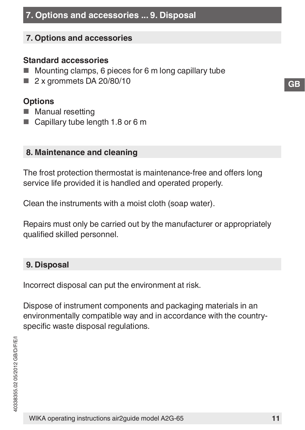#### **7. Options and accessories**

#### **Standard accessories**

- Mounting clamps, 6 pieces for 6 m long capillary tube
- 2 x grommets DA 20/80/10

#### **Options**

- Manual resetting
- Capillary tube length 1.8 or 6 m

#### **8. Maintenance and cleaning**

The frost protection thermostat is maintenance-free and offers long service life provided it is handled and operated properly.

Clean the instruments with a moist cloth (soap water).

Repairs must only be carried out by the manufacturer or appropriately qualified skilled personnel.

#### **9. Disposal**

Incorrect disposal can put the environment at risk.

Dispose of instrument components and packaging materials in an environmentally compatible way and in accordance with the countryspecific waste disposal regulations.

WIKA operating instructions air2guide model A2G-65 **11**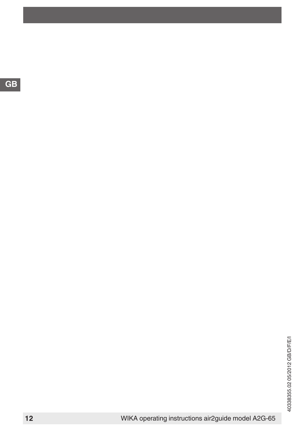**GB**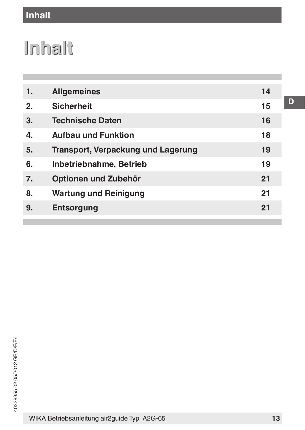# **Inhalt**

| 1. | <b>Allgemeines</b>                 | 14 |
|----|------------------------------------|----|
|    |                                    |    |
| 2. | <b>Sicherheit</b>                  | 15 |
| 3. | <b>Technische Daten</b>            | 16 |
| 4. | <b>Aufbau und Funktion</b>         | 18 |
| 5. | Transport, Verpackung und Lagerung | 19 |
| 6. | Inbetriebnahme, Betrieb            | 19 |
| 7. | Optionen und Zubehör               | 21 |
| 8. | <b>Wartung und Reinigung</b>       | 21 |
| 9. | <b>Entsorgung</b>                  | 21 |
|    |                                    |    |

**D**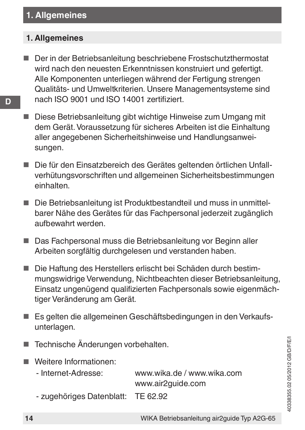#### **1. Allgemeines**

- Der in der Betriebsanleitung beschriebene Frostschutzthermostat wird nach den neuesten Erkenntnissen konstruiert und gefertigt. Alle Komponenten unterliegen während der Fertigung strengen Qualitäts- und Umweltkriterien. Unsere Managementsysteme sind nach ISO 9001 und ISO 14001 zertifiziert.
- Diese Betriebsanleitung gibt wichtige Hinweise zum Umgang mit dem Gerät. Voraussetzung für sicheres Arbeiten ist die Einhaltung aller angegebenen Sicherheitshinweise und Handlungsanweisungen.
- Die für den Einsatzbereich des Gerätes geltenden örtlichen Unfallverhütungsvorschriften und allgemeinen Sicherheitsbestimmungen einhalten.
- Die Betriebsanleitung ist Produktbestandteil und muss in unmittelbarer Nähe des Gerätes für das Fachpersonal jederzeit zugänglich aufbewahrt werden.
- Das Fachpersonal muss die Betriebsanleitung vor Beginn aller Arbeiten sorgfältig durchgelesen und verstanden haben.
- Die Haftung des Herstellers erlischt bei Schäden durch bestimmungswidrige Verwendung, Nichtbeachten dieser Betriebsanleitung, Einsatz ungenügend qualifizierten Fachpersonals sowie eigenmächtiger Veränderung am Gerät.
- Es gelten die allgemeinen Geschäftsbedingungen in den Verkaufsunterlagen.
- Technische Änderungen vorbehalten.
- Weitere Informationen:

| www.wika.de/www.wika.com |
|--------------------------|
| www.air2guide.com        |
|                          |

- zugehöriges Datenblatt: TE 62.92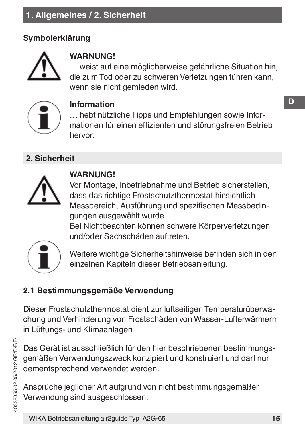# **Symbolerklärung**



# **WARNUNG!**

… weist auf eine möglicherweise gefährliche Situation hin, die zum Tod oder zu schweren Verletzungen führen kann, wenn sie nicht gemieden wird.



# **Information**

… hebt nützliche Tipps und Empfehlungen sowie Informationen für einen effizienten und störungsfreien Betrieb hervor.

# **2. Sicherheit**



#### **WARNUNG!**

Vor Montage, Inbetriebnahme und Betrieb sicherstellen, dass das richtige Frostschutzthermostat hinsichtlich Messbereich, Ausführung und spezifischen Messbedingungen ausgewählt wurde.

Bei Nichtbeachten können schwere Körperverletzungen und/oder Sachschäden auftreten.



Weitere wichtige Sicherheitshinweise befinden sich in den einzelnen Kapiteln dieser Betriebsanleitung.

# **2.1 Bestimmungsgemäße Verwendung**

Dieser Frostschutzthermostat dient zur luftseitigen Temperaturüberwachung und Verhinderung von Frostschäden von Wasser-Lufterwärmern in Lüftungs- und Klimaanlagen

Das Gerät ist ausschließlich für den hier beschriebenen bestimmungsgemäßen Verwendungszweck konzipiert und konstruiert und darf nur dementsprechend verwendet werden.

Ansprüche jeglicher Art aufgrund von nicht bestimmungsgemäßer Verwendung sind ausgeschlossen.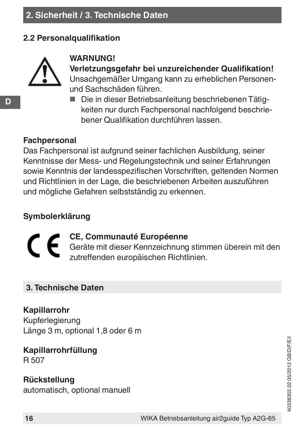# **2.2 Personalqualifikation**



**WARNUNG! Verletzungsgefahr bei unzureichender Qualifikation!** Unsachgemäßer Umgang kann zu erheblichen Personenund Sachschäden führen.

Die in dieser Betriebsanleitung beschriebenen Tätigkeiten nur durch Fachpersonal nachfolgend beschriebener Qualifikation durchführen lassen.

# **Fachpersonal**

Das Fachpersonal ist aufgrund seiner fachlichen Ausbildung, seiner Kenntnisse der Mess- und Regelungstechnik und seiner Erfahrungen sowie Kenntnis der landesspezifischen Vorschriften, geltenden Normen und Richtlinien in der Lage, die beschriebenen Arbeiten auszuführen und mögliche Gefahren selbstständig zu erkennen.

# **Symbolerklärung**

# **CE, Communauté Européenne**

Geräte mit dieser Kennzeichnung stimmen überein mit den zutreffenden europäischen Richtlinien.

#### **3. Technische Daten**

**Kapillarrohr** Kupferlegierung Länge 3 m, optional 1,8 oder 6 m

**Kapillarrohrfüllung** R 507

**Rückstellung** automatisch, optional manuell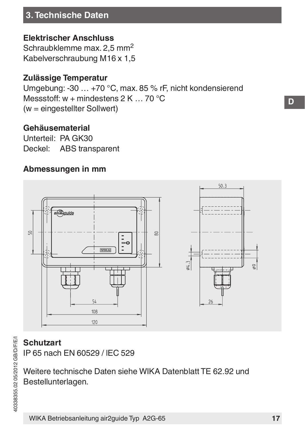# **3. Technische Daten**

# **Elektrischer Anschluss**

Schraubklemme max. 2,5 mm<sup>2</sup> Kabelverschraubung M16 x 1,5

# **Zulässige Temperatur**

Umgebung: -30 … +70 °C, max. 85 % rF, nicht kondensierend Messstoff: w + mindestens 2 K … 70 °C (w = eingestellter Sollwert)

#### **Gehäusematerial**

Unterteil: PA GK30 Deckel: ABS transparent

#### **Abmessungen in mm**



#### **Schutzart**

IP 65 nach EN 60529 / lEC 529

Weitere technische Daten siehe WIKA Datenblatt TE 62.92 und Bestellunterlagen.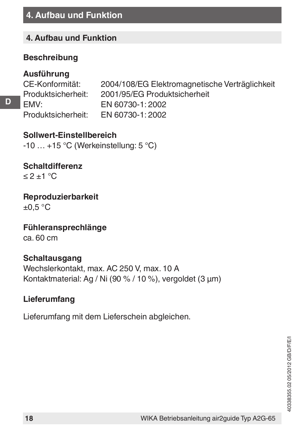#### **4. Aufbau und Funktion**

#### **Beschreibung**

# **Ausführung**<br>CE-Konformität:

Produktsicherheit: EN 60730-1: 2002

CE-Konformität: 2004/108/EG Elektromagnetische Verträglichkeit<br>Produktsicherheit: 2001/95/EG Produktsicherheit Produktsicherheit: 2001/95/EG Produktsicherheit EMV: EN 60730-1: 2002

# **Sollwert-Einstellbereich**

-10 … +15 °C (Werkeinstellung: 5 °C)

#### **Schaltdifferenz**  $< 2 + 1$  °C

**Reproduzierbarkeit**  $\pm$ 0.5 °C

**Fühleransprechlänge** ca. 60 cm

#### **Schaltausgang**

Wechslerkontakt, max. AC 250 V, max. 10 A Kontaktmaterial: Ag / Ni (90 % / 10 %), vergoldet (3 µm)

#### **Lieferumfang**

Lieferumfang mit dem Lieferschein abgleichen.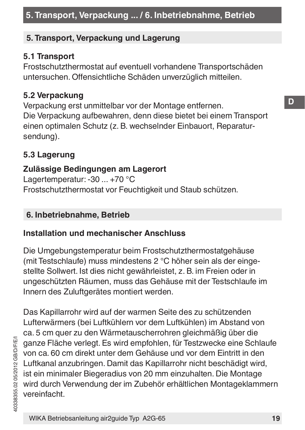# **5. Transport, Verpackung und Lagerung**

# **5.1 Transport**

Frostschutzthermostat auf eventuell vorhandene Transportschäden untersuchen. Offensichtliche Schäden unverzüglich mitteilen.

# **5.2 Verpackung**

Verpackung erst unmittelbar vor der Montage entfernen. Die Verpackung aufbewahren, denn diese bietet bei einem Transport einen optimalen Schutz (z. B. wechselnder Einbauort, Reparatursendung).

# **5.3 Lagerung**

# **Zulässige Bedingungen am Lagerort**

Lagertemperatur: -30 ... +70 °C Frostschutzthermostat vor Feuchtigkeit und Staub schützen.

# **6. Inbetriebnahme, Betrieb**

# **Installation und mechanischer Anschluss**

Die Umgebungstemperatur beim Frostschutzthermostatgehäuse (mit Testschlaufe) muss mindestens 2 °C höher sein als der eingestellte Sollwert. Ist dies nicht gewährleistet, z. B. im Freien oder in ungeschützten Räumen, muss das Gehäuse mit der Testschlaufe im Innern des Zuluftgerätes montiert werden.

Das Kapillarrohr wird auf der warmen Seite des zu schützenden Lufterwärmers (bei Luftkühlern vor dem Luftkühlen) im Abstand von ca. 5 cm quer zu den Wärmetauscherrohren gleichmäßig über die ganze Fläche verlegt. Es wird empfohlen, für Testzwecke eine Schlaufe von ca. 60 cm direkt unter dem Gehäuse und vor dem Eintritt in den Luftkanal anzubringen. Damit das Kapillarrohr nicht beschädigt wird, ist ein minimaler Biegeradius von 20 mm einzuhalten. Die Montage wird durch Verwendung der im Zubehör erhältlichen Montageklammern vereinfacht.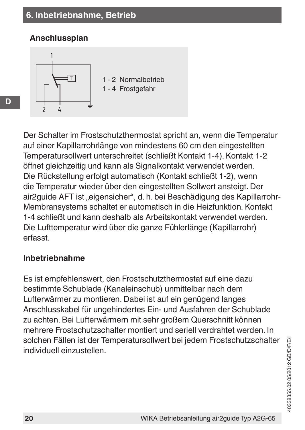# **6. Inbetriebnahme, Betrieb**



Der Schalter im Frostschutzthermostat spricht an, wenn die Temperatur auf einer Kapillarrohrlänge von mindestens 60 cm den eingestellten Temperatursollwert unterschreitet (schließt Kontakt 1-4). Kontakt 1-2 öffnet gleichzeitig und kann als Signalkontakt verwendet werden. Die Rückstellung erfolgt automatisch (Kontakt schließt 1-2), wenn die Temperatur wieder über den eingestellten Sollwert ansteigt. Der air2guide AFT ist "eigensicher", d. h. bei Beschädigung des Kapillarrohr-Membransystems schaltet er automatisch in die Heizfunktion. Kontakt 1-4 schließt und kann deshalb als Arbeitskontakt verwendet werden. Die Lufttemperatur wird über die ganze Fühlerlänge (Kapillarrohr) erfasst.

#### **Inbetriebnahme**

Es ist empfehlenswert, den Frostschutzthermostat auf eine dazu bestimmte Schublade (Kanaleinschub) unmittelbar nach dem Lufterwärmer zu montieren. Dabei ist auf ein genügend langes Anschlusskabel für ungehindertes Ein- und Ausfahren der Schublade zu achten. Bei Lufterwärmern mit sehr großem Querschnitt können mehrere Frostschutzschalter montiert und seriell verdrahtet werden. In solchen Fällen ist der Temperatursollwert bei jedem Frostschutzschalter individuell einzustellen.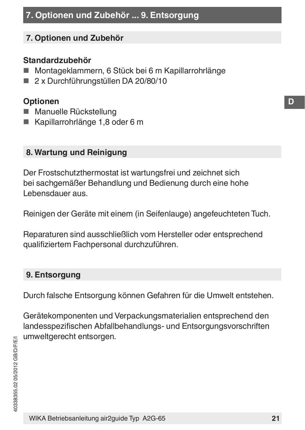#### **7. Optionen und Zubehör**

#### **Standardzubehör**

- Montageklammern, 6 Stück bei 6 m Kapillarrohrlänge
- 2 x Durchführungstüllen DA 20/80/10

#### **Optionen**

- Manuelle Rückstellung
- Kapillarrohrlänge 1,8 oder 6 m

#### **8. Wartung und Reinigung**

Der Frostschutzthermostat ist wartungsfrei und zeichnet sich bei sachgemäßer Behandlung und Bedienung durch eine hohe Lebensdauer aus.

Reinigen der Geräte mit einem (in Seifenlauge) angefeuchteten Tuch.

Reparaturen sind ausschließlich vom Hersteller oder entsprechend qualifiziertem Fachpersonal durchzuführen.

#### **9. Entsorgung**

Durch falsche Entsorgung können Gefahren für die Umwelt entstehen.

Gerätekomponenten und Verpackungsmaterialien entsprechend den landesspezifischen Abfallbehandlungs- und Entsorgungsvorschriften umweltgerecht entsorgen.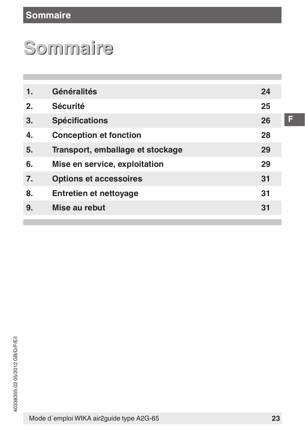# **Sommaire**

| 1.             | Généralités                      | 24 |
|----------------|----------------------------------|----|
| 2.             | Sécurité                         | 25 |
| 3.             | <b>Spécifications</b>            | 26 |
| 4.             | <b>Conception et fonction</b>    | 28 |
| 5.             | Transport, emballage et stockage | 29 |
| 6.             | Mise en service, exploitation    | 29 |
| 7 <sub>1</sub> | <b>Options et accessoires</b>    | 31 |
| 8.             | Entretien et nettoyage           | 31 |
| 9.             | Mise au rebut                    | 31 |
|                |                                  |    |

Mode d´emploi WIKA air2guide type A2G-65 **23**

**F**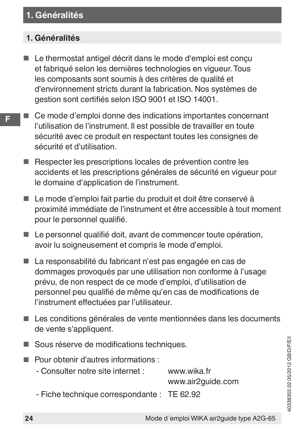# **1. Généralités**

#### **1. Généralités**

- Le thermostat antigel décrit dans le mode d'emploi est concu et fabriqué selon les dernières technologies en vigueur. Tous les composants sont soumis à des critères de qualité et d'environnement stricts durant la fabrication. Nos systèmes de gestion sont certifiés selon ISO 9001 et ISO 14001.
- **F**
	-
- Ce mode d'emploi donne des indications importantes concernant l'utilisation de l'instrument. Il est possible de travailler en toute sécurité avec ce produit en respectant toutes les consignes de sécurité et d'utilisation.
- Respecter les prescriptions locales de prévention contre les accidents et les prescriptions générales de sécurité en vigueur pour le domaine d'application de l'instrument.
- Le mode d'emploi fait partie du produit et doit être conservé à proximité immédiate de l'instrument et être accessible à tout moment pour le personnel qualifié.
- Le personnel qualifié doit, avant de commencer toute opération, avoir lu soigneusement et compris le mode d'emploi.
- La responsabilité du fabricant n'est pas engagée en cas de dommages provoqués par une utilisation non conforme à l'usage prévu, de non respect de ce mode d'emploi, d'utilisation de personnel peu qualifié de même qu'en cas de modifications de l'instrument effectuées par l'utilisateur.
- Les conditions générales de vente mentionnées dans les documents de vente s'appliquent.
- Sous réserve de modifications techniques.
- Pour obtenir d'autres informations :
	- Consulter notre site internet : www.wika.fr

www.air2guide.com

- Fiche technique correspondante : TE 62.92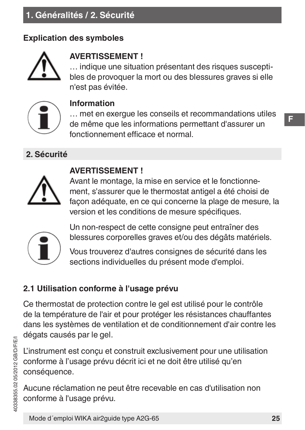# **Explication des symboles**



# **AVERTISSEMENT !**

… indique une situation présentant des risques susceptibles de provoquer la mort ou des blessures graves si elle n'est pas évitée.



#### **Information**

… met en exergue les conseils et recommandations utiles de même que les informations permettant d'assurer un fonctionnement efficace et normal.

# **2. Sécurité**



#### **AVERTISSEMENT !**

Avant le montage, la mise en service et le fonctionnement, s'assurer que le thermostat antigel a été choisi de façon adéquate, en ce qui concerne la plage de mesure, la version et les conditions de mesure spécifiques.



Un non-respect de cette consigne peut entraîner des blessures corporelles graves et/ou des dégâts matériels.

Vous trouverez d'autres consignes de sécurité dans les sections individuelles du présent mode d'emploi.

# **2.1 Utilisation conforme à l'usage prévu**

Ce thermostat de protection contre le gel est utilisé pour le contrôle de la température de l'air et pour protéger les résistances chauffantes dans les systèmes de ventilation et de conditionnement d'air contre les dégats causés par le gel.

L'instrument est conçu et construit exclusivement pour une utilisation conforme à l'usage prévu décrit ici et ne doit être utilisé qu'en conséquence.

Aucune réclamation ne peut être recevable en cas d'utilisation non conforme à l'usage prévu.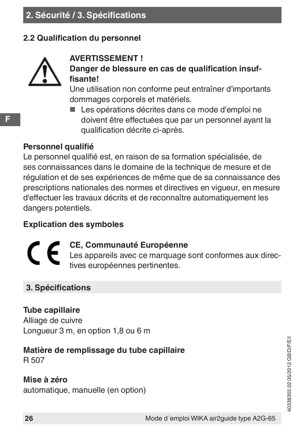#### **2.2 Qualification du personnel**



#### **AVERTISSEMENT ! Danger de blessure en cas de qualification insuffisante!**

Une utilisation non conforme peut entraîner d'importants dommages corporels et matériels.

■ Les opérations décrites dans ce mode d'emploi ne doivent être effectuées que par un personnel ayant la qualification décrite ci-après.

#### **Personnel qualifié**

Le personnel qualifié est, en raison de sa formation spécialisée, de ses connaissances dans le domaine de la technique de mesure et de régulation et de ses expériences de même que de sa connaissance des prescriptions nationales des normes et directives en vigueur, en mesure d'effectuer les travaux décrits et de reconnaître automatiquement les dangers potentiels.

#### **Explication des symboles**

#### **CE, Communauté Européenne**

Les appareils avec ce marquage sont conformes aux directives européennes pertinentes.

#### **3. Spécifications**

#### **Tube capillaire**

Alliage de cuivre Longueur 3 m, en option 1,8 ou 6 m

#### **Matière de remplissage du tube capillaire** R 507

**Mise à zéro** automatique, manuelle (en option)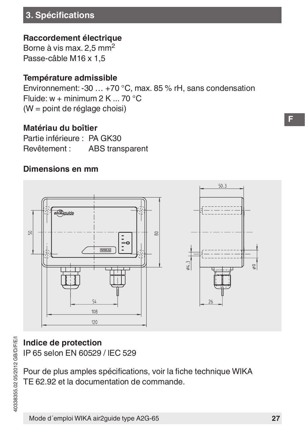# **3. Spécifications**

# **Raccordement électrique**

Borne à vis max. 2,5 mm<sup>2</sup> Passe-câble M16 x 1,5

# **Température admissible**

Environnement: -30 … +70 °C, max. 85 % rH, sans condensation Fluide: w + minimum 2 K ... 70 °C (W = point de réglage choisi)

# **Matériau du boîtier**

Partie inférieure : PA GK30 Revêtement : ABS transparent

#### **Dimensions en mm**



# **Indice de protection**

IP 65 selon EN 60529 / lEC 529

Pour de plus amples spécifications, voir la fiche technique WIKA TE 62.92 et la documentation de commande.

Mode d´emploi WIKA air2guide type A2G-65 **27**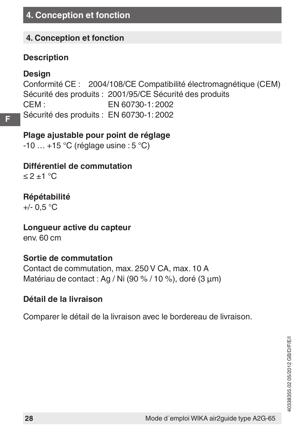## **4. Conception et fonction**

# **Description**

#### **Design**

Conformité CE : 2004/108/CE Compatibilité électromagnétique (CEM) Sécurité des produits : 2001/95/CE Sécurité des produits CEM : EN 60730-1: 2002 Sécurité des produits : EN 60730-1: 2002

## **Plage ajustable pour point de réglage**

 $-10$  ...  $+15$  °C (réglage usine : 5 °C)

**Différentiel de commutation**

 $< 2 + 1$  °C

# **Répétabilité**

 $+/- 0.5 °C$ 

**Longueur active du capteur** env. 60 cm

#### **Sortie de commutation**

Contact de commutation, max. 250 V CA, max. 10 A Matériau de contact : Ag / Ni (90 % / 10 %), doré (3 µm)

#### **Détail de la livraison**

Comparer le détail de la livraison avec le bordereau de livraison.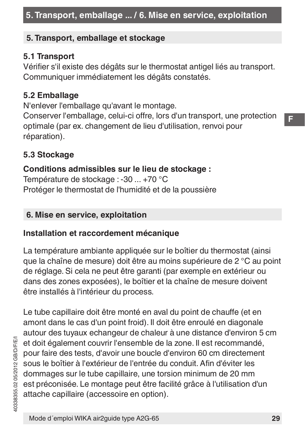# **5. Transport, emballage et stockage**

#### **5.1 Transport**

Vérifier s'il existe des dégâts sur le thermostat antigel liés au transport. Communiquer immédiatement les dégâts constatés.

#### **5.2 Emballage**

N'enlever l'emballage qu'avant le montage.

Conserver l'emballage, celui-ci offre, lors d'un transport, une protection optimale (par ex. changement de lieu d'utilisation, renvoi pour réparation).

#### **5.3 Stockage**

#### **Conditions admissibles sur le lieu de stockage :**

Température de stockage : -30 ... +70 °C Protéger le thermostat de l'humidité et de la poussière

#### **6. Mise en service, exploitation**

#### **Installation et raccordement mécanique**

La température ambiante appliquée sur le boîtier du thermostat (ainsi que la chaîne de mesure) doit être au moins supérieure de 2 °C au point de réglage. Si cela ne peut être garanti (par exemple en extérieur ou dans des zones exposées), le boîtier et la chaîne de mesure doivent être installés à l'intérieur du process.

Le tube capillaire doit être monté en aval du point de chauffe (et en amont dans le cas d'un point froid). Il doit être enroulé en diagonale autour des tuyaux echangeur de chaleur à une distance d'environ 5 cm et doit également couvrir l'ensemble de la zone. Il est recommandé, pour faire des tests, d'avoir une boucle d'environ 60 cm directement sous le boîtier à l'extérieur de l'entrée du conduit. Afin d'éviter les dommages sur le tube capillaire, une torsion minimum de 20 mm est préconisée. Le montage peut être facilité grâce à l'utilisation d'un attache capillaire (accessoire en option).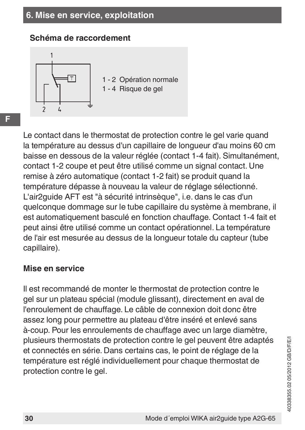

Le contact dans le thermostat de protection contre le gel varie quand la température au dessus d'un capillaire de longueur d'au moins 60 cm baisse en dessous de la valeur réglée (contact 1-4 fait). Simultanément, contact 1-2 coupe et peut être utilisé comme un signal contact. Une remise à zéro automatique (contact 1-2 fait) se produit quand la température dépasse à nouveau la valeur de réglage sélectionné. L'air2guide AFT est "à sécurité intrinsèque", i.e. dans le cas d'un quelconque dommage sur le tube capillaire du système à membrane, il est automatiquement basculé en fonction chauffage. Contact 1-4 fait et peut ainsi être utilisé comme un contact opérationnel. La température de l'air est mesurée au dessus de la longueur totale du capteur (tube capillaire).

#### **Mise en service**

Il est recommandé de monter le thermostat de protection contre le gel sur un plateau spécial (module glissant), directement en aval de l'enroulement de chauffage. Le câble de connexion doit donc être assez long pour permettre au plateau d'être inséré et enlevé sans à-coup. Pour les enroulements de chauffage avec un large diamètre, plusieurs thermostats de protection contre le gel peuvent être adaptés et connectés en série. Dans certains cas, le point de réglage de la température est réglé individuellement pour chaque thermostat de protection contre le gel.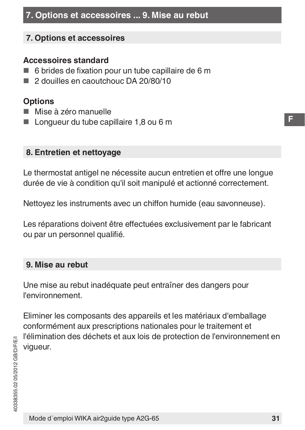# **7. Options et accessoires ... 9. Mise au rebut**

# **7. Options et accessoires**

#### **Accessoires standard**

- 6 brides de fixation pour un tube capillaire de 6 m
- 2 douilles en caoutchouc DA 20/80/10

#### **Options**

- Mise à zéro manuelle
- Longueur du tube capillaire 1,8 ou 6 m

#### **8. Entretien et nettoyage**

Le thermostat antigel ne nécessite aucun entretien et offre une longue durée de vie à condition qu'il soit manipulé et actionné correctement.

Nettoyez les instruments avec un chiffon humide (eau savonneuse).

Les réparations doivent être effectuées exclusivement par le fabricant ou par un personnel qualifié.

#### **9. Mise au rebut**

Une mise au rebut inadéquate peut entraîner des dangers pour l'environnement.

Eliminer les composants des appareils et les matériaux d'emballage conformément aux prescriptions nationales pour le traitement et l'élimination des déchets et aux lois de protection de l'environnement en vigueur.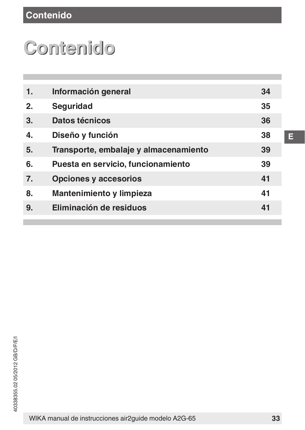# **Contenido**

| 1. | Información general                   | 34 |
|----|---------------------------------------|----|
| 2. | <b>Sequridad</b>                      | 35 |
| 3. | Datos técnicos                        | 36 |
| 4. | Diseño y función                      | 38 |
| 5. | Transporte, embalaje y almacenamiento | 39 |
| 6. | Puesta en servicio, funcionamiento    | 39 |
| 7. | Opciones y accesorios                 | 41 |
| 8. | Mantenimiento y limpieza              | 41 |
| 9. | Eliminación de residuos               | 41 |
|    |                                       |    |

**E**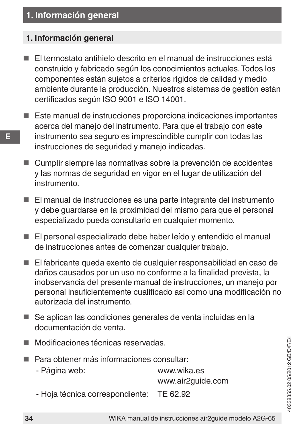#### **1. Información general**

- El termostato antihielo descrito en el manual de instrucciones está construido y fabricado según los conocimientos actuales. Todos los componentes están sujetos a criterios rígidos de calidad y medio ambiente durante la producción. Nuestros sistemas de gestión están certificados según ISO 9001 e ISO 14001.
- Este manual de instrucciones proporciona indicaciones importantes acerca del manejo del instrumento. Para que el trabajo con este instrumento sea seguro es imprescindible cumplir con todas las instrucciones de seguridad y manejo indicadas.
- Cumplir siempre las normativas sobre la prevención de accidentes y las normas de seguridad en vigor en el lugar de utilización del instrumento.
- El manual de instrucciones es una parte integrante del instrumento y debe guardarse en la proximidad del mismo para que el personal especializado pueda consultarlo en cualquier momento.
- El personal especializado debe haber leído y entendido el manual de instrucciones antes de comenzar cualquier trabajo.
- El fabricante queda exento de cualquier responsabilidad en caso de daños causados por un uso no conforme a la finalidad prevista, la inobservancia del presente manual de instrucciones, un manejo por personal insuficientemente cualificado así como una modificación no autorizada del instrumento.
- Se aplican las condiciones generales de venta incluidas en la documentación de venta.
- Modificaciones técnicas reservadas.
- Para obtener más informaciones consultar:
	- Página web: www.wika.es www.air2guide.com - Hoja técnica correspondiente: TE 62.92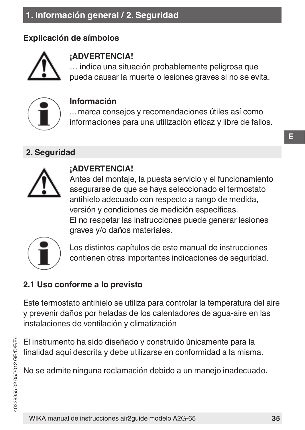## **Explicación de símbolos**



#### **¡ADVERTENCIA!**

… indica una situación probablemente peligrosa que pueda causar la muerte o lesiones graves si no se evita.



#### **Información**

... marca consejos y recomendaciones útiles así como informaciones para una utilización eficaz y libre de fallos.

# **2. Seguridad**



#### **¡ADVERTENCIA!**

Antes del montaje, la puesta servicio y el funcionamiento asegurarse de que se haya seleccionado el termostato antihielo adecuado con respecto a rango de medida, versión y condiciones de medición específicas. El no respetar las instrucciones puede generar lesiones graves y/o daños materiales.



Los distintos capítulos de este manual de instrucciones contienen otras importantes indicaciones de seguridad.

# **2.1 Uso conforme a lo previsto**

Este termostato antihielo se utiliza para controlar la temperatura del aire y prevenir daños por heladas de los calentadores de agua-aire en las instalaciones de ventilación y climatización

El instrumento ha sido diseñado y construido únicamente para la finalidad aquí descrita y debe utilizarse en conformidad a la misma.

No se admite ninguna reclamación debido a un manejo inadecuado.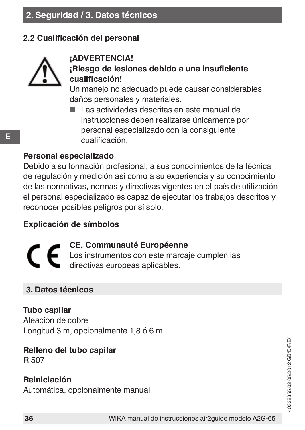# **2.2 Cualificación del personal**



**E**

#### **¡ADVERTENCIA! ¡Riesgo de lesiones debido a una insuficiente cualificación!**

Un manejo no adecuado puede causar considerables daños personales y materiales.

■ Las actividades descritas en este manual de instrucciones deben realizarse únicamente por personal especializado con la consiguiente cualificación.

#### **Personal especializado**

Debido a su formación profesional, a sus conocimientos de la técnica de regulación y medición así como a su experiencia y su conocimiento de las normativas, normas y directivas vigentes en el país de utilización el personal especializado es capaz de ejecutar los trabajos descritos y reconocer posibles peligros por sí solo.

#### **Explicación de símbolos**

**CE, Communauté Européenne** Los instrumentos con este marcaje cumplen las

directivas europeas aplicables.

# **3. Datos técnicos**

**Tubo capilar** Aleación de cobre Longitud 3 m, opcionalmente 1,8 ó 6 m

#### **Relleno del tubo capilar** R 507

**Reiniciación** Automática, opcionalmente manual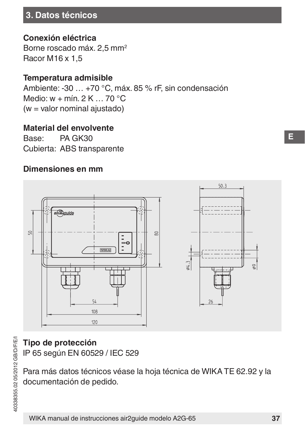# **3. Datos técnicos**

#### **Conexión eléctrica**

Borne roscado máx. 2,5 mm2 Racor M16 x 1,5

#### **Temperatura admisible**

Ambiente: -30 … +70 °C, máx. 85 % rF, sin condensación Medio: w + mín. 2 K … 70 °C (w = valor nominal ajustado)

#### **Material del envolvente**

Base: PA GK30 Cubierta: ABS transparente

#### **Dimensiones en mm**



# **Tipo de protección**

IP 65 según EN 60529 / IEC 529

Para más datos técnicos véase la hoja técnica de WIKA TE 62.92 y la documentación de pedido.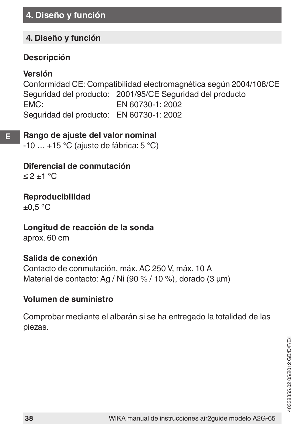# **4. Diseño y función**

# **Descripción**

#### **Versión**

Conformidad CE: Compatibilidad electromagnética según 2004/108/CE Seguridad del producto: 2001/95/CE Seguridad del producto EMC: EN 60730-1: 2002 Seguridad del producto: EN 60730-1: 2002

**E Rango de ajuste del valor nominal**

-10 … +15 °C (ajuste de fábrica: 5 °C)

**Diferencial de conmutación**

 $< 2 + 1$  °C

**Reproducibilidad**

 $\pm$ 0.5 °C

**Longitud de reacción de la sonda** aprox. 60 cm

#### **Salida de conexión**

Contacto de conmutación, máx. AC 250 V, máx. 10 A Material de contacto: Ag / Ni (90 % / 10 %), dorado (3 µm)

#### **Volumen de suministro**

Comprobar mediante el albarán si se ha entregado la totalidad de las piezas.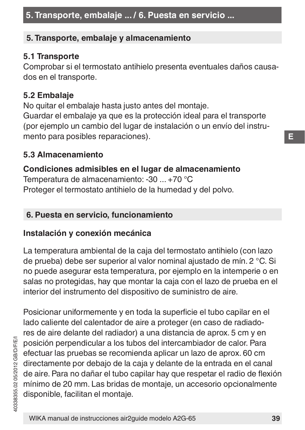# **5. Transporte, embalaje y almacenamiento**

# **5.1 Transporte**

Comprobar si el termostato antihielo presenta eventuales daños causados en el transporte.

# **5.2 Embalaje**

No quitar el embalaje hasta justo antes del montaje. Guardar el embalaje ya que es la protección ideal para el transporte (por ejemplo un cambio del lugar de instalación o un envío del instrumento para posibles reparaciones).

#### **5.3 Almacenamiento**

#### **Condiciones admisibles en el lugar de almacenamiento** Temperatura de almacenamiento: -30 ... +70 °C Proteger el termostato antihielo de la humedad y del polvo.

#### **6. Puesta en servicio, funcionamiento**

# **Instalación y conexión mecánica**

La temperatura ambiental de la caja del termostato antihielo (con lazo de prueba) debe ser superior al valor nominal ajustado de mín. 2 °C. Si no puede asegurar esta temperatura, por ejemplo en la intemperie o en salas no protegidas, hay que montar la caja con el lazo de prueba en el interior del instrumento del dispositivo de suministro de aire.

Posicionar uniformemente y en toda la superficie el tubo capilar en el lado caliente del calentador de aire a proteger (en caso de radiadores de aire delante del radiador) a una distancia de aprox. 5 cm y en posición perpendicular a los tubos del intercambiador de calor. Para efectuar las pruebas se recomienda aplicar un lazo de aprox. 60 cm directamente por debajo de la caja y delante de la entrada en el canal de aire. Para no dañar el tubo capilar hay que respetar el radio de flexión mínimo de 20 mm. Las bridas de montaje, un accesorio opcionalmente disponible, facilitan el montaje.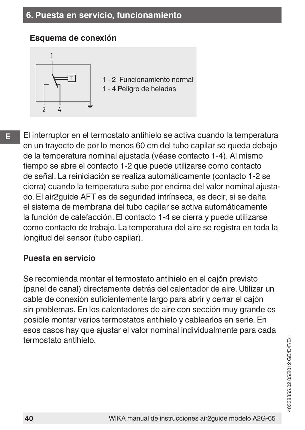# **6. Puesta en servicio, funcionamiento**

#### **Esquema de conexión**



El interruptor en el termostato antihielo se activa cuando la temperatura en un trayecto de por lo menos 60 cm del tubo capilar se queda debajo de la temperatura nominal ajustada (véase contacto 1-4). Al mismo tiempo se abre el contacto 1-2 que puede utilizarse como contacto de señal. La reiniciación se realiza automáticamente (contacto 1-2 se cierra) cuando la temperatura sube por encima del valor nominal ajustado. El air2guide AFT es de seguridad intrínseca, es decir, si se daña el sistema de membrana del tubo capilar se activa automáticamente la función de calefacción. El contacto 1-4 se cierra y puede utilizarse como contacto de trabajo. La temperatura del aire se registra en toda la longitud del sensor (tubo capilar).

#### **Puesta en servicio**

Se recomienda montar el termostato antihielo en el cajón previsto (panel de canal) directamente detrás del calentador de aire. Utilizar un cable de conexión suficientemente largo para abrir y cerrar el cajón sin problemas. En los calentadores de aire con sección muy grande es posible montar varios termostatos antihielo y cablearlos en serie. En esos casos hay que ajustar el valor nominal individualmente para cada termostato antihielo.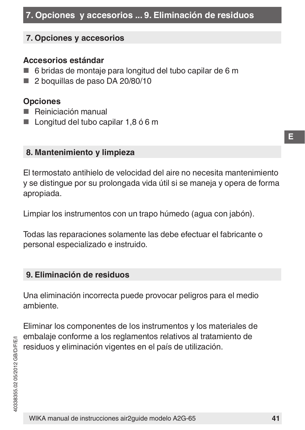# **7. Opciones y accesorios**

#### **Accesorios estándar**

- 6 bridas de montaje para longitud del tubo capilar de 6 m
- 2 boquillas de paso DA 20/80/10

#### **Opciones**

- Reiniciación manual
- Longitud del tubo capilar 1,8 ó 6 m

#### **8. Mantenimiento y limpieza**

El termostato antihielo de velocidad del aire no necesita mantenimiento y se distingue por su prolongada vida útil si se maneja y opera de forma apropiada.

Limpiar los instrumentos con un trapo húmedo (agua con jabón).

Todas las reparaciones solamente las debe efectuar el fabricante o personal especializado e instruido.

#### **9. Eliminación de residuos**

Una eliminación incorrecta puede provocar peligros para el medio ambiente.

Eliminar los componentes de los instrumentos y los materiales de embalaje conforme a los reglamentos relativos al tratamiento de residuos y eliminación vigentes en el país de utilización.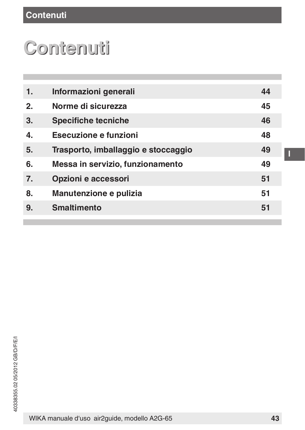# **Contenuti**

| 1. | Informazioni generali               | 44 |
|----|-------------------------------------|----|
| 2. | Norme di sicurezza                  | 45 |
| 3. | <b>Specifiche tecniche</b>          | 46 |
| 4. | Esecuzione e funzioni               | 48 |
| 5. | Trasporto, imballaggio e stoccaggio | 49 |
| 6. | Messa in servizio, funzionamento    | 49 |
| 7. | Opzioni e accessori                 | 51 |
| 8. | Manutenzione e pulizia              | 51 |
| 9. | <b>Smaltimento</b>                  | 51 |
|    |                                     |    |

**I**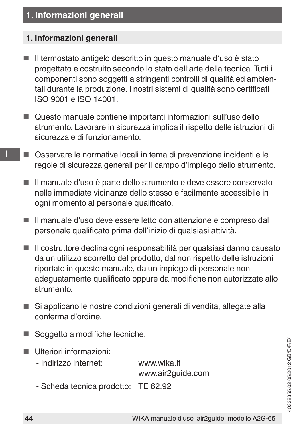#### **1. Informazioni generali**

- Il termostato antigelo descritto in questo manuale d'uso è stato progettato e costruito secondo lo stato dell'arte della tecnica. Tutti i componenti sono soggetti a stringenti controlli di qualità ed ambientali durante la produzione. I nostri sistemi di qualità sono certificati ISO 9001 e ISO 14001.
- Questo manuale contiene importanti informazioni sull'uso dello strumento. Lavorare in sicurezza implica il rispetto delle istruzioni di sicurezza e di funzionamento.
- Osservare le normative locali in tema di prevenzione incidenti e le regole di sicurezza generali per il campo d'impiego dello strumento.
	- Il manuale d'uso è parte dello strumento e deve essere conservato nelle immediate vicinanze dello stesso e facilmente accessibile in ogni momento al personale qualificato.
	- Il manuale d'uso deve essere letto con attenzione e compreso dal personale qualificato prima dell'inizio di qualsiasi attività.
	- Il costruttore declina ogni responsabilità per qualsiasi danno causato da un utilizzo scorretto del prodotto, dal non rispetto delle istruzioni riportate in questo manuale, da un impiego di personale non adeguatamente qualificato oppure da modifiche non autorizzate allo strumento.
	- Si applicano le nostre condizioni generali di vendita, allegate alla conferma d'ordine.
	- Soggetto a modifiche tecniche.
	- Ulteriori informazioni:

| - Indirizzo Internet:               | www.wika.it       |
|-------------------------------------|-------------------|
|                                     | www.air2guide.com |
| - Scheda tecnica prodotto: TE 62.92 |                   |

**I**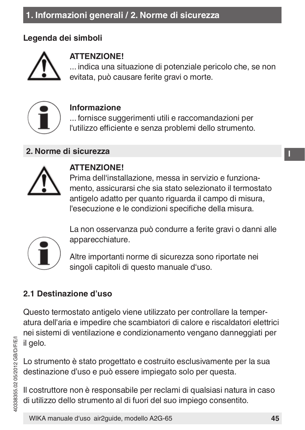# **Legenda dei simboli**



# **ATTENZIONE!**

... indica una situazione di potenziale pericolo che, se non evitata, può causare ferite gravi o morte.



# **Informazione**

... fornisce suggerimenti utili e raccomandazioni per l'utilizzo efficiente e senza problemi dello strumento.

## **2. Norme di sicurezza**



#### **ATTENZIONE!**

Prima dell'installazione, messa in servizio e funzionamento, assicurarsi che sia stato selezionato il termostato antigelo adatto per quanto riguarda il campo di misura, l'esecuzione e le condizioni specifiche della misura.



La non osservanza può condurre a ferite gravi o danni alle apparecchiature.

Altre importanti norme di sicurezza sono riportate nei singoli capitoli di questo manuale d'uso.

# **2.1 Destinazione d'uso**

Questo termostato antigelo viene utilizzato per controllare la temperatura dell'aria e impedire che scambiatori di calore e riscaldatori elettrici nei sistemi di ventilazione e condizionamento vengano danneggiati per il gelo.

Lo strumento è stato progettato e costruito esclusivamente per la sua destinazione d'uso e può essere impiegato solo per questa.

Il costruttore non è responsabile per reclami di qualsiasi natura in caso di utilizzo dello strumento al di fuori del suo impiego consentito.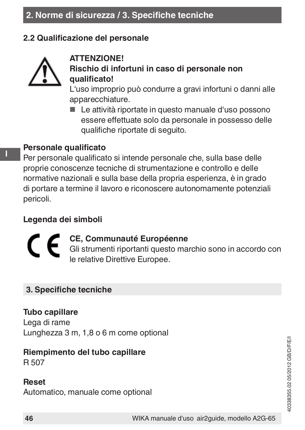#### **2.2 Qualificazione del personale**



**ATTENZIONE! Rischio di infortuni in caso di personale non qualificato!**

L'uso improprio può condurre a gravi infortuni o danni alle apparecchiature.

■ Le attività riportate in questo manuale d'uso possono essere effettuate solo da personale in possesso delle qualifiche riportate di seguito.

#### **Personale qualificato**

Per personale qualificato si intende personale che, sulla base delle proprie conoscenze tecniche di strumentazione e controllo e delle normative nazionali e sulla base della propria esperienza, è in grado di portare a termine il lavoro e riconoscere autonomamente potenziali pericoli.

#### **Legenda dei simboli**

#### **CE, Communauté Européenne**

Gli strumenti riportanti questo marchio sono in accordo con le relative Direttive Europee.

#### **3. Specifiche tecniche**

#### **Tubo capillare**

Lega di rame Lunghezza 3 m, 1,8 o 6 m come optional

#### **Riempimento del tubo capillare**

R 507

#### **Reset**

Automatico, manuale come optional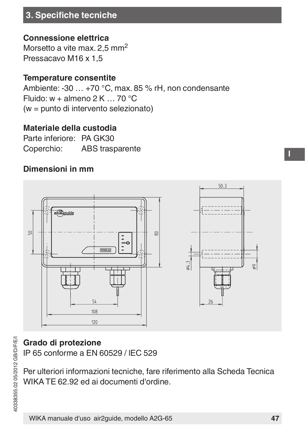# **3. Specifiche tecniche**

# **Connessione elettrica**

Morsetto a vite max, 2.5 mm<sup>2</sup> Pressacavo M16 x 1,5

#### **Temperature consentite**

Ambiente: -30 … +70 °C, max. 85 % rH, non condensante Fluido: w + almeno 2 K … 70 °C (w = punto di intervento selezionato)

#### **Materiale della custodia**

Parte inferiore: PA GK30 Coperchio: ABS trasparente

#### **Dimensioni in mm**



#### **Grado di protezione**

IP 65 conforme a EN 60529 / lEC 529

Per ulteriori informazioni tecniche, fare riferimento alla Scheda Tecnica WIKA TE 62.92 ed ai documenti d'ordine.

**I**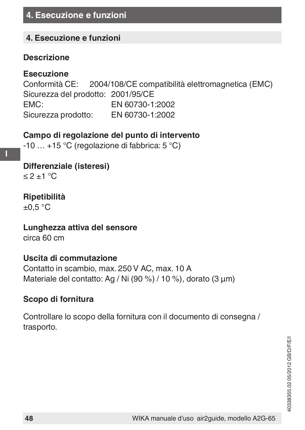#### **4. Esecuzione e funzioni**

#### **Descrizione**

#### **Esecuzione**

Conformità CE: 2004/108/CE compatibilità elettromagnetica (EMC) Sicurezza del prodotto: 2001/95/CE EMC: EN 60730-1:2002 Sicurezza prodotto: EN 60730-1:2002

#### **Campo di regolazione del punto di intervento**

-10 … +15 °C (regolazione di fabbrica: 5 °C)

#### **Differenziale (isteresi)**

 $< 2 + 1$  °C

# **Ripetibilità**

 $\pm 0.5$  °C

# **Lunghezza attiva del sensore**

circa 60 cm

#### **Uscita di commutazione**

Contatto in scambio, max. 250 V AC, max. 10 A Materiale del contatto: Ag / Ni (90 %) / 10 %), dorato (3 µm)

#### **Scopo di fornitura**

Controllare lo scopo della fornitura con il documento di consegna / trasporto.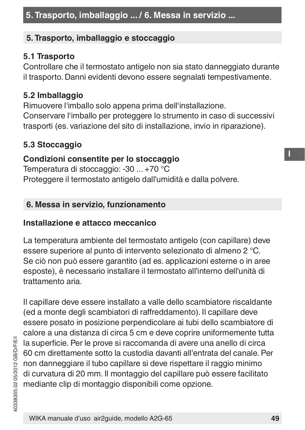# **5. Trasporto, imballaggio e stoccaggio**

#### **5.1 Trasporto**

Controllare che il termostato antigelo non sia stato danneggiato durante il trasporto. Danni evidenti devono essere segnalati tempestivamente.

#### **5.2 Imballaggio**

Rimuovere l'imballo solo appena prima dell'installazione. Conservare l'imballo per proteggere lo strumento in caso di successivi trasporti (es. variazione del sito di installazione, invio in riparazione).

#### **5.3 Stoccaggio**

#### **Condizioni consentite per lo stoccaggio**

Temperatura di stoccaggio: -30 ... +70 °C Proteggere il termostato antigelo dall'umidità e dalla polvere.

#### **6. Messa in servizio, funzionamento**

#### **Installazione e attacco meccanico**

La temperatura ambiente del termostato antigelo (con capillare) deve essere superiore al punto di intervento selezionato di almeno 2 °C. Se ciò non può essere garantito (ad es. applicazioni esterne o in aree esposte), è necessario installare il termostato all'interno dell'unità di trattamento aria.

Il capillare deve essere installato a valle dello scambiatore riscaldante (ed a monte degli scambiatori di raffreddamento). Il capillare deve essere posato in posizione perpendicolare ai tubi dello scambiatore di calore a una distanza di circa 5 cm e deve coprire uniformemente tutta la superficie. Per le prove si raccomanda di avere una anello di circa 60 cm direttamente sotto la custodia davanti all'entrata del canale. Per non danneggiare il tubo capillare si deve rispettare il raggio minimo di curvatura di 20 mm. Il montaggio del capillare può essere facilitato mediante clip di montaggio disponibili come opzione.

**I**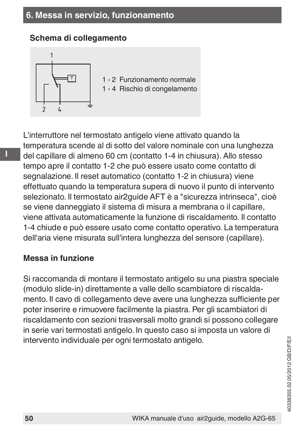# **6. Messa in servizio, funzionamento**





L'interruttore nel termostato antigelo viene attivato quando la temperatura scende al di sotto del valore nominale con una lunghezza del capillare di almeno 60 cm (contatto 1-4 in chiusura). Allo stesso tempo apre il contatto 1-2 che può essere usato come contatto di segnalazione. Il reset automatico (contatto 1-2 in chiusura) viene effettuato quando la temperatura supera di nuovo il punto di intervento selezionato. Il termostato air2guide AFT è a "sicurezza intrinseca", cioè se viene danneggiato il sistema di misura a membrana o il capillare, viene attivata automaticamente la funzione di riscaldamento. Il contatto 1-4 chiude e può essere usato come contatto operativo. La temperatura dell'aria viene misurata sull'intera lunghezza del sensore (capillare).

#### **Messa in funzione**

**I**

Si raccomanda di montare il termostato antigelo su una piastra speciale (modulo slide-in) direttamente a valle dello scambiatore di riscaldamento. Il cavo di collegamento deve avere una lunghezza sufficiente per poter inserire e rimuovere facilmente la piastra. Per gli scambiatori di riscaldamento con sezioni trasversali molto grandi si possono collegare in serie vari termostati antigelo. In questo caso si imposta un valore di intervento individuale per ogni termostato antigelo.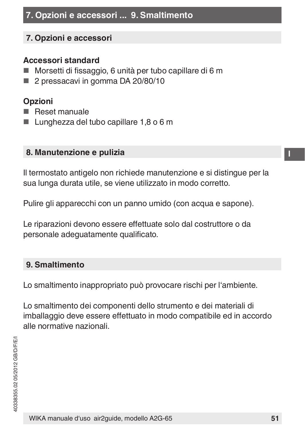# **7. Opzioni e accessori**

#### **Accessori standard**

- Morsetti di fissaggio, 6 unità per tubo capillare di 6 m
- 2 pressacavi in gomma DA 20/80/10

#### **Opzioni**

- Reset manuale
- Lunghezza del tubo capillare 1,8 o 6 m

#### **8. Manutenzione e pulizia**

Il termostato antigelo non richiede manutenzione e si distingue per la sua lunga durata utile, se viene utilizzato in modo corretto.

Pulire gli apparecchi con un panno umido (con acqua e sapone).

Le riparazioni devono essere effettuate solo dal costruttore o da personale adeguatamente qualificato.

# **9. Smaltimento**

Lo smaltimento inappropriato può provocare rischi per l'ambiente.

Lo smaltimento dei componenti dello strumento e dei materiali di imballaggio deve essere effettuato in modo compatibile ed in accordo alle normative nazionali.